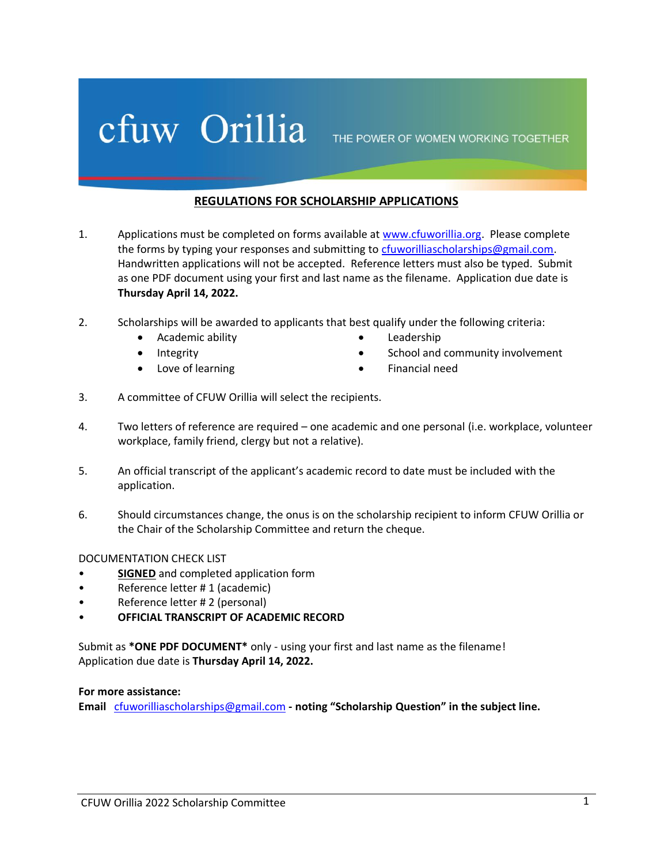## Cfuw Orillia THE POWER OF WOMEN WORKING TOGETHER

## **REGULATIONS FOR SCHOLARSHIP APPLICATIONS**

- 1. Applications must be completed on forms available at [www.cfuworillia.org.](http://www.cfuworillia.org/) Please complete the forms by typing your responses and submitting to [cfuworilliascholarships@gmail.com.](mailto:cfuworilliascholarships@gmail.com) Handwritten applications will not be accepted. Reference letters must also be typed. Submit as one PDF document using your first and last name as the filename. Application due date is **Thursday April 14, 2022.**
- 2. Scholarships will be awarded to applicants that best qualify under the following criteria:
	- Academic ability
		- Integrity
		- Love of learning
- Leadership
- School and community involvement
- Financial need
- 3. A committee of CFUW Orillia will select the recipients.
- 4. Two letters of reference are required one academic and one personal (i.e. workplace, volunteer workplace, family friend, clergy but not a relative).
- 5. An official transcript of the applicant's academic record to date must be included with the application.
- 6. Should circumstances change, the onus is on the scholarship recipient to inform CFUW Orillia or the Chair of the Scholarship Committee and return the cheque.

### DOCUMENTATION CHECK LIST

- **SIGNED** and completed application form
- Reference letter # 1 (academic)
- Reference letter # 2 (personal)
- **OFFICIAL TRANSCRIPT OF ACADEMIC RECORD**

Submit as **\*ONE PDF DOCUMENT\*** only - using your first and last name as the filename! Application due date is **Thursday April 14, 2022.**

### **For more assistance:**

**Email** [cfuworilliascholarships@gmail.com](mailto:cfuworilliascholarships@gmail.com) **- noting "Scholarship Question" in the subject line.**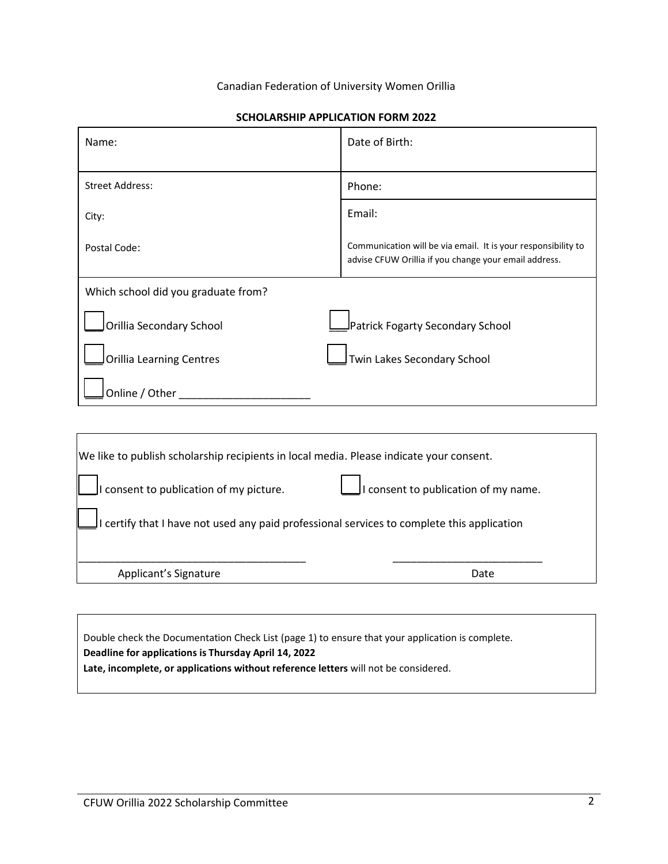#### Canadian Federation of University Women Orillia

| Name:                               | Date of Birth:                                                                                                         |
|-------------------------------------|------------------------------------------------------------------------------------------------------------------------|
| <b>Street Address:</b>              | Phone:                                                                                                                 |
| City:                               | Email:                                                                                                                 |
| Postal Code:                        | Communication will be via email. It is your responsibility to<br>advise CFUW Orillia if you change your email address. |
| Which school did you graduate from? |                                                                                                                        |
| Orillia Secondary School            | Patrick Fogarty Secondary School                                                                                       |
| <b>Orillia Learning Centres</b>     | Twin Lakes Secondary School                                                                                            |
| Online / Other                      |                                                                                                                        |

#### **SCHOLARSHIP APPLICATION FORM 2022**

| We like to publish scholarship recipients in local media. Please indicate your consent.    |                                       |  |
|--------------------------------------------------------------------------------------------|---------------------------------------|--|
| I consent to publication of my picture.                                                    | It consent to publication of my name. |  |
| I certify that I have not used any paid professional services to complete this application |                                       |  |
| Applicant's Signature                                                                      | Date                                  |  |
|                                                                                            |                                       |  |

Double check the Documentation Check List (page 1) to ensure that your application is complete. **Deadline for applications is Thursday April 14, 2022 Late, incomplete, or applications without reference letters** will not be considered.

 $\Gamma$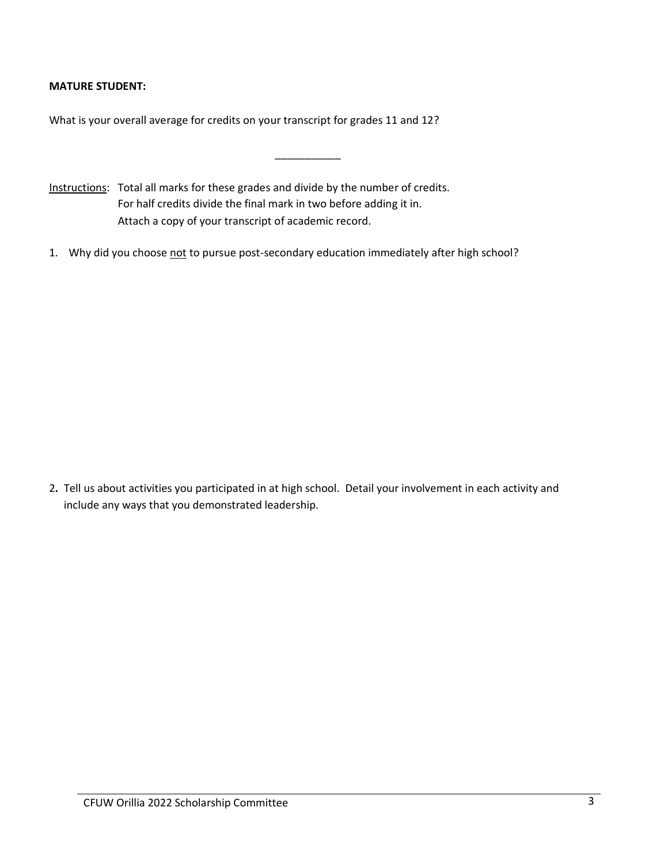## **MATURE STUDENT:**

What is your overall average for credits on your transcript for grades 11 and 12?

- Instructions: Total all marks for these grades and divide by the number of credits. For half credits divide the final mark in two before adding it in. Attach a copy of your transcript of academic record.
- 1. Why did you choose not to pursue post-secondary education immediately after high school?

\_\_\_\_\_\_\_\_\_\_\_

2**.** Tell us about activities you participated in at high school. Detail your involvement in each activity and include any ways that you demonstrated leadership.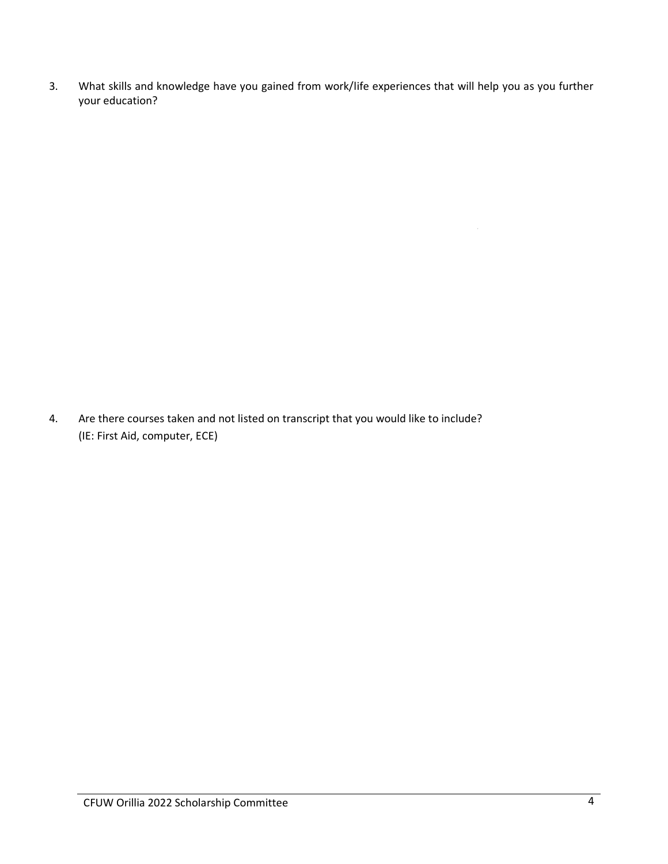3. What skills and knowledge have you gained from work/life experiences that will help you as you further your education?

4. Are there courses taken and not listed on transcript that you would like to include? (IE: First Aid, computer, ECE)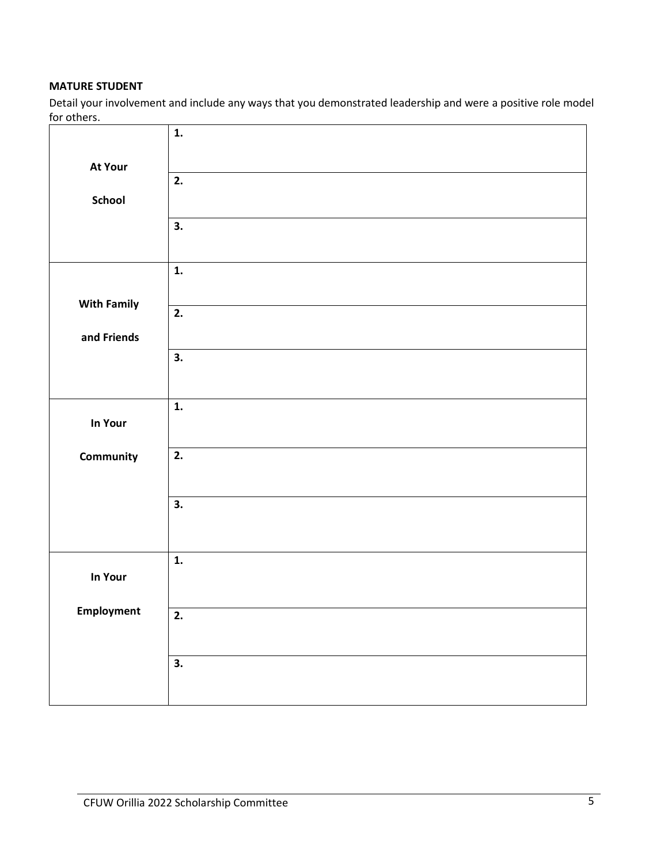## **MATURE STUDENT**

Detail your involvement and include any ways that you demonstrated leadership and were a positive role model for others.

|                    | $\mathbf{1}$ .            |
|--------------------|---------------------------|
| <b>At Your</b>     |                           |
|                    | 2.                        |
| School             |                           |
|                    | $\overline{\mathbf{3}}$ . |
|                    |                           |
|                    | $\mathbf{1}$ .            |
| <b>With Family</b> | $\overline{2}$ .          |
|                    |                           |
| and Friends        | 3.                        |
|                    |                           |
|                    |                           |
| In Your            | $\mathbf{1}$ .            |
|                    |                           |
| Community          | 2.                        |
|                    |                           |
|                    | 3.                        |
|                    |                           |
|                    | 1.                        |
| In Your            |                           |
| Employment         | 2.                        |
|                    |                           |
|                    | 3.                        |
|                    |                           |
|                    |                           |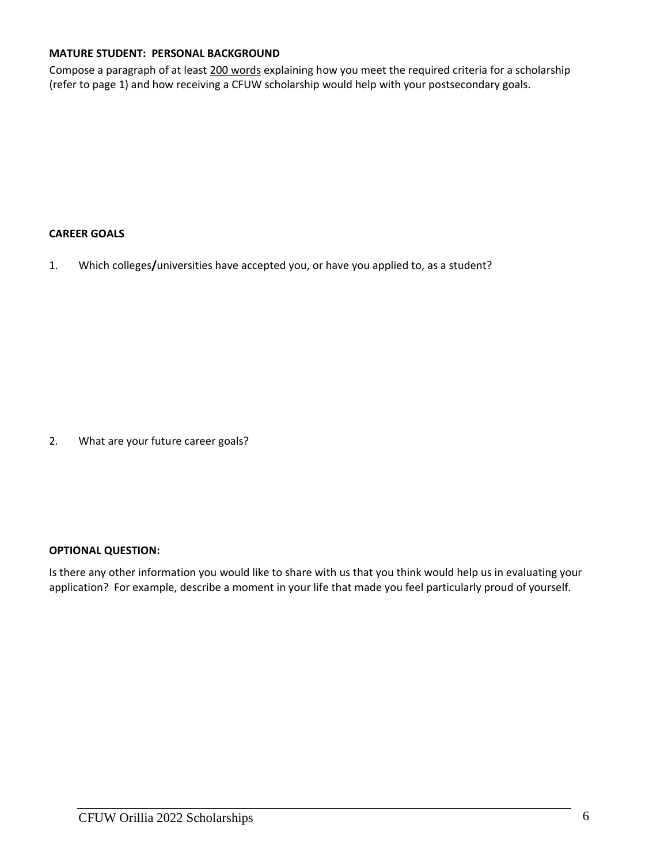## **MATURE STUDENT: PERSONAL BACKGROUND**

Compose a paragraph of at least 200 words explaining how you meet the required criteria for a scholarship (refer to page 1) and how receiving a CFUW scholarship would help with your postsecondary goals.

## **CAREER GOALS**

1. Which colleges**/**universities have accepted you, or have you applied to, as a student?

2. What are your future career goals?

### **OPTIONAL QUESTION:**

Is there any other information you would like to share with us that you think would help us in evaluating your application? For example, describe a moment in your life that made you feel particularly proud of yourself.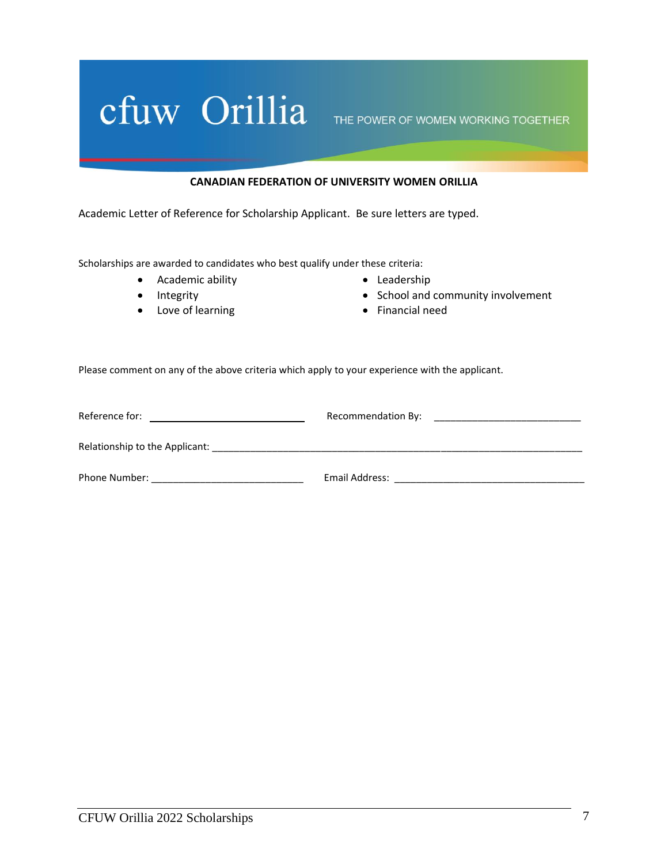# Cfuw Orillia THE POWER OF WOMEN WORKING TOGETHER

#### **CANADIAN FEDERATION OF UNIVERSITY WOMEN ORILLIA**

Academic Letter of Reference for Scholarship Applicant. Be sure letters are typed.

Scholarships are awarded to candidates who best qualify under these criteria:

- Academic ability
- Integrity
- Love of learning
- Leadership
- School and community involvement
- Financial need

Please comment on any of the above criteria which apply to your experience with the applicant.

| Reference for:                 | Recommendation By: |
|--------------------------------|--------------------|
| Relationship to the Applicant: |                    |
| Phone Number:                  | Email Address:     |